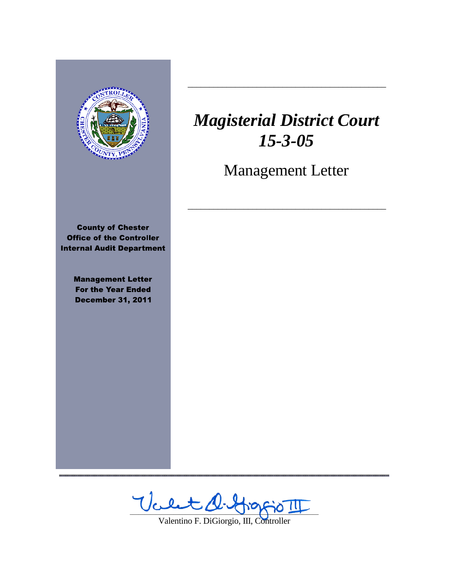

,,,,,,,,,,,,,,,,,,,,,,,,,,,,,,,

# *Magisterial District Court 15-3-05*

 $\frac{1}{2}$  ,  $\frac{1}{2}$  ,  $\frac{1}{2}$  ,  $\frac{1}{2}$  ,  $\frac{1}{2}$  ,  $\frac{1}{2}$  ,  $\frac{1}{2}$  ,  $\frac{1}{2}$  ,  $\frac{1}{2}$  ,  $\frac{1}{2}$  ,  $\frac{1}{2}$  ,  $\frac{1}{2}$  ,  $\frac{1}{2}$  ,  $\frac{1}{2}$  ,  $\frac{1}{2}$  ,  $\frac{1}{2}$  ,  $\frac{1}{2}$  ,  $\frac{1}{2}$  ,  $\frac{1$ 

Management Letter

 $\frac{1}{2}$  ,  $\frac{1}{2}$  ,  $\frac{1}{2}$  ,  $\frac{1}{2}$  ,  $\frac{1}{2}$  ,  $\frac{1}{2}$  ,  $\frac{1}{2}$  ,  $\frac{1}{2}$  ,  $\frac{1}{2}$  ,  $\frac{1}{2}$  ,  $\frac{1}{2}$  ,  $\frac{1}{2}$  ,  $\frac{1}{2}$  ,  $\frac{1}{2}$  ,  $\frac{1}{2}$  ,  $\frac{1}{2}$  ,  $\frac{1}{2}$  ,  $\frac{1}{2}$  ,  $\frac{1$ 

Valet d. Hoppo II

Valentino F. DiGiorgio, III, Controller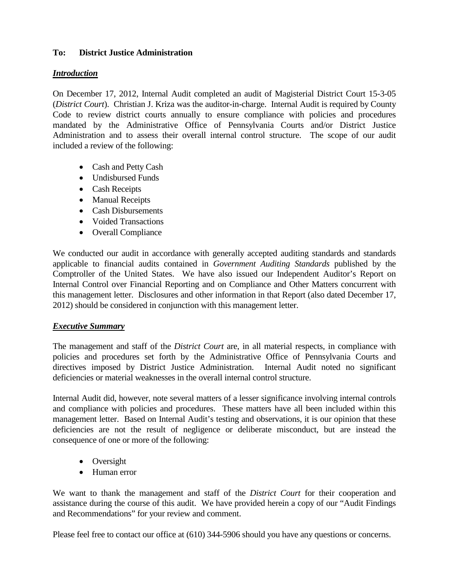# **To: District Justice Administration**

## *Introduction*

On December 17, 2012, Internal Audit completed an audit of Magisterial District Court 15-3-05 (*District Court*). Christian J. Kriza was the auditor-in-charge. Internal Audit is required by County Code to review district courts annually to ensure compliance with policies and procedures mandated by the Administrative Office of Pennsylvania Courts and/or District Justice Administration and to assess their overall internal control structure. The scope of our audit included a review of the following:

- Cash and Petty Cash
- Undisbursed Funds
- Cash Receipts
- Manual Receipts
- Cash Disbursements
- Voided Transactions
- Overall Compliance

We conducted our audit in accordance with generally accepted auditing standards and standards applicable to financial audits contained in *Government Auditing Standards* published by the Comptroller of the United States. We have also issued our Independent Auditor's Report on Internal Control over Financial Reporting and on Compliance and Other Matters concurrent with this management letter. Disclosures and other information in that Report (also dated December 17, 2012) should be considered in conjunction with this management letter.

# *Executive Summary*

The management and staff of the *District Court* are, in all material respects, in compliance with policies and procedures set forth by the Administrative Office of Pennsylvania Courts and directives imposed by District Justice Administration. Internal Audit noted no significant deficiencies or material weaknesses in the overall internal control structure.

Internal Audit did, however, note several matters of a lesser significance involving internal controls and compliance with policies and procedures. These matters have all been included within this management letter. Based on Internal Audit's testing and observations, it is our opinion that these deficiencies are not the result of negligence or deliberate misconduct, but are instead the consequence of one or more of the following:

- Oversight
- Human error

We want to thank the management and staff of the *District Court* for their cooperation and assistance during the course of this audit. We have provided herein a copy of our "Audit Findings and Recommendations" for your review and comment.

Please feel free to contact our office at (610) 344-5906 should you have any questions or concerns.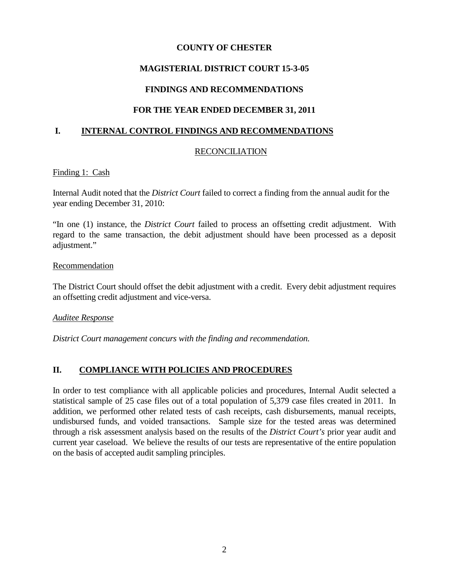## **COUNTY OF CHESTER**

# **MAGISTERIAL DISTRICT COURT 15-3-05**

# **FINDINGS AND RECOMMENDATIONS**

# **FOR THE YEAR ENDED DECEMBER 31, 2011**

# **I. INTERNAL CONTROL FINDINGS AND RECOMMENDATIONS**

# **RECONCILIATION**

### Finding 1: Cash

Internal Audit noted that the *District Court* failed to correct a finding from the annual audit for the year ending December 31, 2010:

"In one (1) instance, the *District Court* failed to process an offsetting credit adjustment. With regard to the same transaction, the debit adjustment should have been processed as a deposit adjustment."

#### Recommendation

The District Court should offset the debit adjustment with a credit. Every debit adjustment requires an offsetting credit adjustment and vice-versa.

### *Auditee Response*

*District Court management concurs with the finding and recommendation.*

# **II. COMPLIANCE WITH POLICIES AND PROCEDURES**

In order to test compliance with all applicable policies and procedures, Internal Audit selected a statistical sample of 25 case files out of a total population of 5,379 case files created in 2011. In addition, we performed other related tests of cash receipts, cash disbursements, manual receipts, undisbursed funds, and voided transactions. Sample size for the tested areas was determined through a risk assessment analysis based on the results of the *District Court's* prior year audit and current year caseload. We believe the results of our tests are representative of the entire population on the basis of accepted audit sampling principles.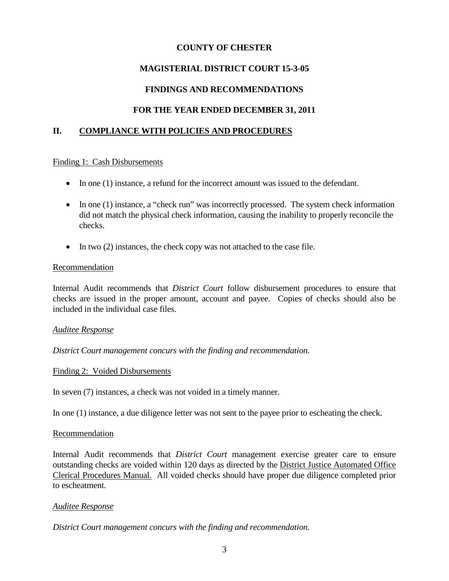## **COUNTY OF CHESTER**

# **MAGISTERIAL DISTRICT COURT 15-3-05**

# **FINDINGS AND RECOMMENDATIONS**

# **FOR THE YEAR ENDED DECEMBER 31, 2011**

## **II. COMPLIANCE WITH POLICIES AND PROCEDURES**

# Finding 1: Cash Disbursements

- In one (1) instance, a refund for the incorrect amount was issued to the defendant.
- In one (1) instance, a "check run" was incorrectly processed. The system check information did not match the physical check information, causing the inability to properly reconcile the checks.
- In two (2) instances, the check copy was not attached to the case file.

#### Recommendation

Internal Audit recommends that *District Court* follow disbursement procedures to ensure that checks are issued in the proper amount, account and payee. Copies of checks should also be included in the individual case files.

### *Auditee Response*

*District Court management concurs with the finding and recommendation.*

### Finding 2: Voided Disbursements

In seven (7) instances, a check was not voided in a timely manner.

In one (1) instance, a due diligence letter was not sent to the payee prior to escheating the check.

### Recommendation

Internal Audit recommends that *District Court* management exercise greater care to ensure outstanding checks are voided within 120 days as directed by the District Justice Automated Office Clerical Procedures Manual. All voided checks should have proper due diligence completed prior to escheatment.

### *Auditee Response*

*District Court management concurs with the finding and recommendation.*